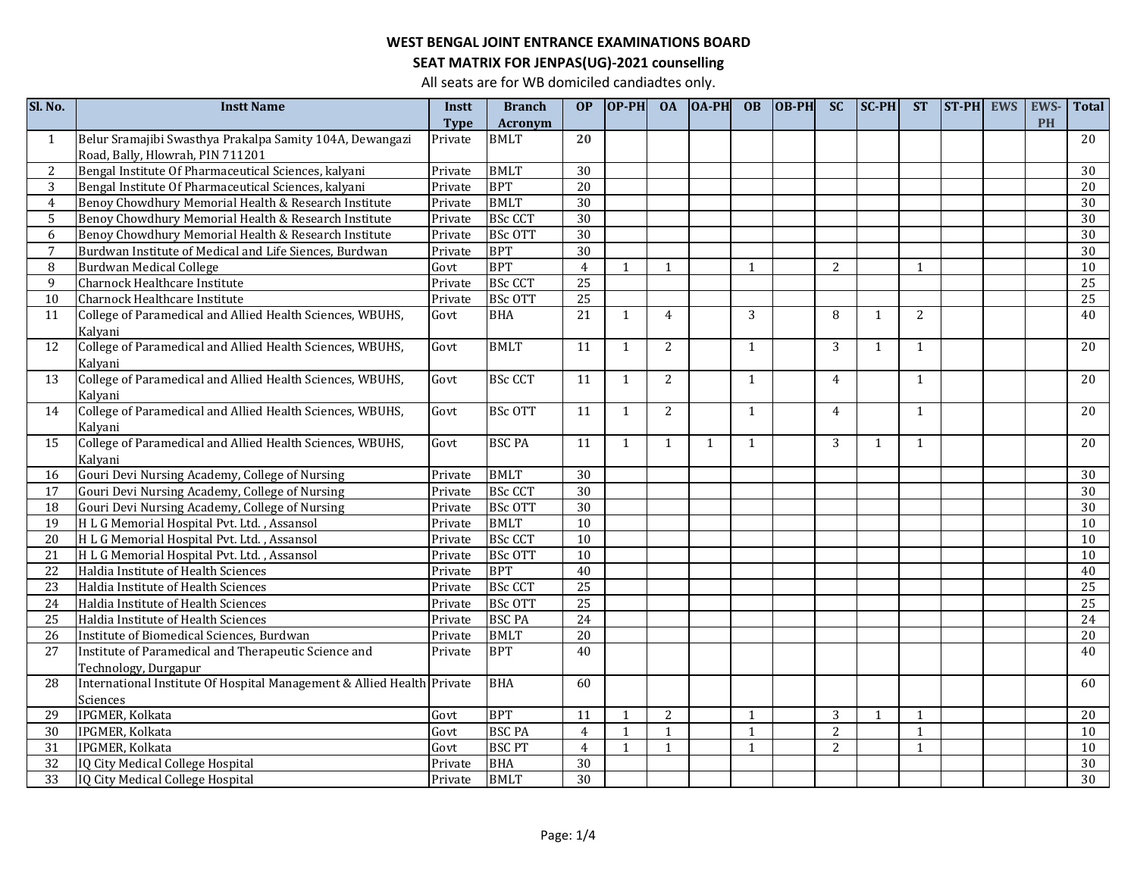# **SEAT MATRIX FOR JENPAS(UG)-2021 counselling**

| Sl. No.        | <b>Instt Name</b>                                                      | Instt       | <b>Branch</b>  | OP              | $OP-PH$      | <b>OA</b>      | $[OA-PH]$ | <b>OB</b>    | <b>OB-PH</b> | <b>SC</b>      | $SC-PH$      | <b>ST</b>      | <b>ST-PH</b> | <b>EWS</b> | EWS-      | <b>Total</b>    |
|----------------|------------------------------------------------------------------------|-------------|----------------|-----------------|--------------|----------------|-----------|--------------|--------------|----------------|--------------|----------------|--------------|------------|-----------|-----------------|
|                |                                                                        | <b>Type</b> | <b>Acronym</b> |                 |              |                |           |              |              |                |              |                |              |            | <b>PH</b> |                 |
| 1              | Belur Sramajibi Swasthya Prakalpa Samity 104A, Dewangazi               | Private     | <b>BMLT</b>    | $\overline{20}$ |              |                |           |              |              |                |              |                |              |            |           | $\overline{20}$ |
|                | Road, Bally, Hlowrah, PIN 711201                                       |             |                |                 |              |                |           |              |              |                |              |                |              |            |           |                 |
| 2              | Bengal Institute Of Pharmaceutical Sciences, kalyani                   | Private     | <b>BMLT</b>    | 30              |              |                |           |              |              |                |              |                |              |            |           | 30              |
| 3              | Bengal Institute Of Pharmaceutical Sciences, kalyani                   | Private     | <b>BPT</b>     | $\overline{20}$ |              |                |           |              |              |                |              |                |              |            |           | 20              |
| $\overline{4}$ | Benoy Chowdhury Memorial Health & Research Institute                   | Private     | <b>BMLT</b>    | $\overline{30}$ |              |                |           |              |              |                |              |                |              |            |           | 30              |
| 5              | Benoy Chowdhury Memorial Health & Research Institute                   | Private     | <b>BSc CCT</b> | 30              |              |                |           |              |              |                |              |                |              |            |           | 30              |
| 6              | Benoy Chowdhury Memorial Health & Research Institute                   | Private     | <b>BSc OTT</b> | 30              |              |                |           |              |              |                |              |                |              |            |           | 30              |
| $\overline{7}$ | Burdwan Institute of Medical and Life Siences, Burdwan                 | Private     | <b>BPT</b>     | $\overline{30}$ |              |                |           |              |              |                |              |                |              |            |           | 30              |
| 8              | Burdwan Medical College                                                | Govt        | <b>BPT</b>     | $\overline{4}$  | $\mathbf{1}$ | 1              |           | 1            |              | 2              |              | $\mathbf{1}$   |              |            |           | 10              |
| 9              | Charnock Healthcare Institute                                          | Private     | <b>BSc CCT</b> | $\overline{25}$ |              |                |           |              |              |                |              |                |              |            |           | 25              |
| 10             | Charnock Healthcare Institute                                          | Private     | <b>BSc OTT</b> | 25              |              |                |           |              |              |                |              |                |              |            |           | 25              |
| 11             | College of Paramedical and Allied Health Sciences, WBUHS,              | Govt        | <b>BHA</b>     | 21              | $\mathbf{1}$ | $\overline{4}$ |           | 3            |              | 8              | $\mathbf{1}$ | 2              |              |            |           | 40              |
|                | Kalyani                                                                |             |                |                 |              |                |           |              |              |                |              |                |              |            |           |                 |
| 12             | College of Paramedical and Allied Health Sciences, WBUHS,              | Govt        | <b>BMLT</b>    | 11              | $\mathbf{1}$ | 2              |           | $\mathbf{1}$ |              | 3              | $\mathbf{1}$ | $\mathbf{1}$   |              |            |           | 20              |
|                | Kalyani                                                                |             |                |                 |              |                |           |              |              |                |              |                |              |            |           |                 |
| 13             | College of Paramedical and Allied Health Sciences, WBUHS,              | Govt        | <b>BSc CCT</b> | 11              | 1            | $\mathbf{2}$   |           | $\mathbf{1}$ |              | $\overline{4}$ |              | $\mathbf{1}$   |              |            |           | 20              |
|                | Kalyani                                                                |             |                |                 |              |                |           |              |              |                |              |                |              |            |           |                 |
| 14             | College of Paramedical and Allied Health Sciences, WBUHS,              | Govt        | <b>BSc OTT</b> | 11              | $\mathbf{1}$ | 2              |           | $\mathbf{1}$ |              | $\overline{4}$ |              | $\mathbf{1}$   |              |            |           | 20              |
|                | Kalyani                                                                |             |                |                 |              |                |           |              |              |                |              |                |              |            |           |                 |
| 15             | College of Paramedical and Allied Health Sciences, WBUHS,              | Govt        | <b>BSC PA</b>  | 11              | 1            | $\mathbf{1}$   | 1         | $\mathbf{1}$ |              | 3              | $\mathbf{1}$ | 1              |              |            |           | 20              |
|                | Kalyani                                                                |             |                |                 |              |                |           |              |              |                |              |                |              |            |           |                 |
| 16             | Gouri Devi Nursing Academy, College of Nursing                         | Private     | <b>BMLT</b>    | $\overline{30}$ |              |                |           |              |              |                |              |                |              |            |           | 30              |
| 17             | Gouri Devi Nursing Academy, College of Nursing                         | Private     | <b>BSc CCT</b> | 30              |              |                |           |              |              |                |              |                |              |            |           | 30              |
| 18             | Gouri Devi Nursing Academy, College of Nursing                         | Private     | <b>BSc OTT</b> | $\overline{30}$ |              |                |           |              |              |                |              |                |              |            |           | 30              |
| 19             | H L G Memorial Hospital Pvt. Ltd., Assansol                            | Private     | <b>BMLT</b>    | $\overline{10}$ |              |                |           |              |              |                |              |                |              |            |           | 10              |
| 20             | H L G Memorial Hospital Pvt. Ltd., Assansol                            | Private     | <b>BSc CCT</b> | $\overline{10}$ |              |                |           |              |              |                |              |                |              |            |           | 10              |
| 21             | H L G Memorial Hospital Pvt. Ltd., Assansol                            | Private     | <b>BSc OTT</b> | $\overline{10}$ |              |                |           |              |              |                |              |                |              |            |           | 10              |
| 22             | Haldia Institute of Health Sciences                                    | Private     | <b>BPT</b>     | 40              |              |                |           |              |              |                |              |                |              |            |           | 40              |
| 23             | Haldia Institute of Health Sciences                                    | Private     | <b>BSc CCT</b> | 25              |              |                |           |              |              |                |              |                |              |            |           | 25              |
| 24             | Haldia Institute of Health Sciences                                    | Private     | <b>BSc OTT</b> | 25              |              |                |           |              |              |                |              |                |              |            |           | $\overline{25}$ |
| 25             | Haldia Institute of Health Sciences                                    | Private     | <b>BSC PA</b>  | 24              |              |                |           |              |              |                |              |                |              |            |           | 24              |
| 26             | Institute of Biomedical Sciences, Burdwan                              | Private     | <b>BMLT</b>    | $\overline{20}$ |              |                |           |              |              |                |              |                |              |            |           | 20              |
| 27             | Institute of Paramedical and Therapeutic Science and                   | Private     | <b>BPT</b>     | 40              |              |                |           |              |              |                |              |                |              |            |           | 40              |
|                | Technology, Durgapur                                                   |             |                |                 |              |                |           |              |              |                |              |                |              |            |           |                 |
| 28             | International Institute Of Hospital Management & Allied Health Private |             | <b>BHA</b>     | 60              |              |                |           |              |              |                |              |                |              |            |           | 60              |
|                | Sciences                                                               |             |                |                 |              |                |           |              |              |                |              |                |              |            |           |                 |
| 29             | IPGMER, Kolkata                                                        | Govt        | <b>BPT</b>     | 11              | 1            | $\overline{2}$ |           | $\mathbf{1}$ |              | 3              | $\mathbf{1}$ | $\overline{1}$ |              |            |           | 20              |
| 30             | IPGMER, Kolkata                                                        | Govt        | <b>BSC PA</b>  | $\overline{4}$  | $\mathbf{1}$ | $\mathbf{1}$   |           | $\mathbf{1}$ |              | $\overline{2}$ |              | $\overline{1}$ |              |            |           | 10              |
| 31             | IPGMER, Kolkata                                                        | Govt        | <b>BSC PT</b>  | $\overline{4}$  | $\mathbf{1}$ | $\mathbf{1}$   |           | $\mathbf{1}$ |              | 2              |              | $\overline{1}$ |              |            |           | 10              |
| 32             | IQ City Medical College Hospital                                       | Private     | <b>BHA</b>     | 30              |              |                |           |              |              |                |              |                |              |            |           | 30              |
| 33             | IQ City Medical College Hospital                                       | Private     | <b>BMLT</b>    | 30              |              |                |           |              |              |                |              |                |              |            |           | 30              |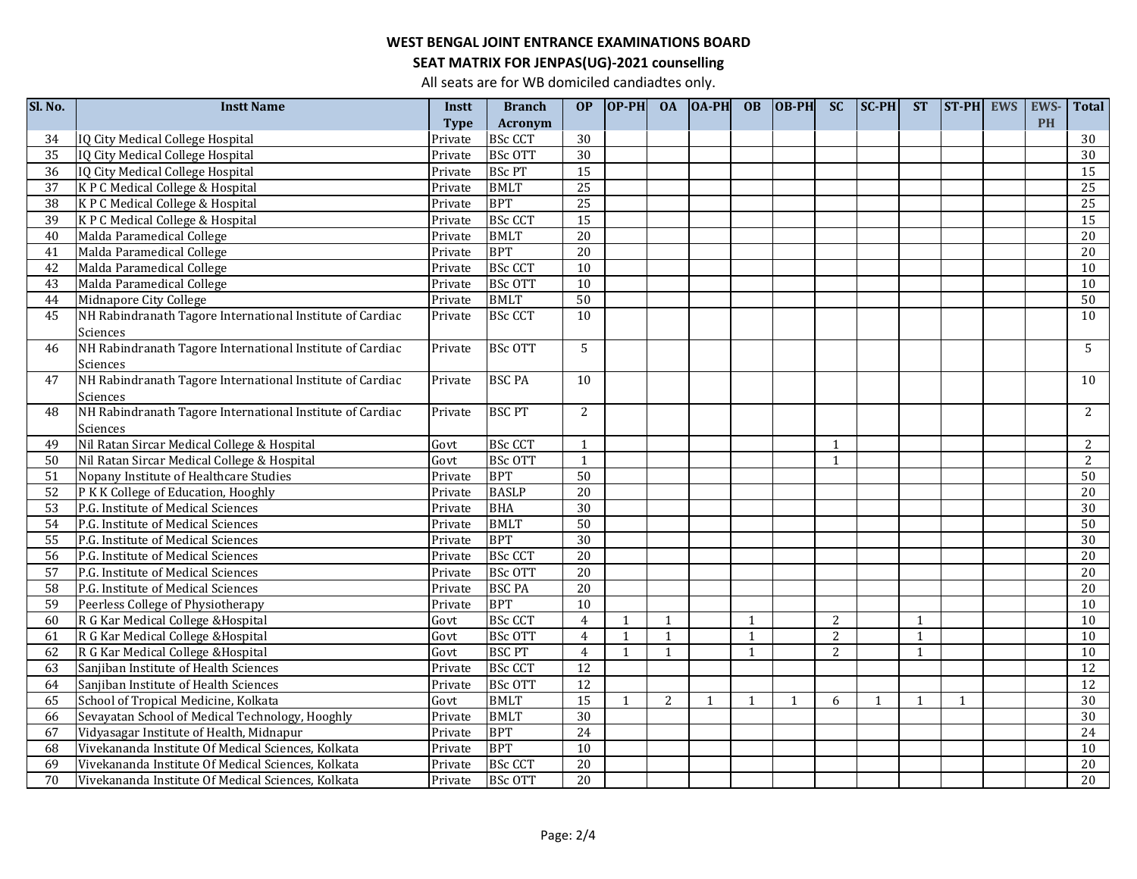# **SEAT MATRIX FOR JENPAS(UG)-2021 counselling**

| Sl. No.         | <b>Instt Name</b>                                         | Instt       | <b>Branch</b>  | OP              | $OP-PH$      | <b>OA</b>      | $ OA-PH $    | <b>OB</b>    | $ OB-PH $    | <b>SC</b>    | <b>SC-PH</b> | <b>ST</b>    | ST-PH EWS    | EWS-      | Total           |
|-----------------|-----------------------------------------------------------|-------------|----------------|-----------------|--------------|----------------|--------------|--------------|--------------|--------------|--------------|--------------|--------------|-----------|-----------------|
|                 |                                                           | <b>Type</b> | <b>Acronym</b> |                 |              |                |              |              |              |              |              |              |              | <b>PH</b> |                 |
| 34              | IQ City Medical College Hospital                          | Private     | <b>BSc CCT</b> | 30              |              |                |              |              |              |              |              |              |              |           | 30              |
| $\overline{35}$ | IQ City Medical College Hospital                          | Private     | <b>BSc OTT</b> | 30              |              |                |              |              |              |              |              |              |              |           | 30              |
| 36              | IQ City Medical College Hospital                          | Private     | <b>BSc PT</b>  | 15              |              |                |              |              |              |              |              |              |              |           | 15              |
| 37              | K P C Medical College & Hospital                          | Private     | <b>BMLT</b>    | 25              |              |                |              |              |              |              |              |              |              |           | $\overline{25}$ |
| 38              | K P C Medical College & Hospital                          | Private     | <b>BPT</b>     | $\overline{25}$ |              |                |              |              |              |              |              |              |              |           | $\overline{25}$ |
| $\overline{39}$ | K P C Medical College & Hospital                          | Private     | <b>BSc CCT</b> | $\overline{15}$ |              |                |              |              |              |              |              |              |              |           | $\overline{15}$ |
| 40              | Malda Paramedical College                                 | Private     | <b>BMLT</b>    | $\overline{20}$ |              |                |              |              |              |              |              |              |              |           | 20              |
| 41              | Malda Paramedical College                                 | Private     | <b>BPT</b>     | 20              |              |                |              |              |              |              |              |              |              |           | $\overline{20}$ |
| 42              | Malda Paramedical College                                 | Private     | <b>BSc CCT</b> | 10              |              |                |              |              |              |              |              |              |              |           | 10              |
| 43              | Malda Paramedical College                                 | Private     | <b>BSc OTT</b> | $\overline{10}$ |              |                |              |              |              |              |              |              |              |           | 10              |
| 44              | Midnapore City College                                    | Private     | <b>BMLT</b>    | 50              |              |                |              |              |              |              |              |              |              |           | 50              |
| 45              | NH Rabindranath Tagore International Institute of Cardiac | Private     | <b>BSc CCT</b> | 10              |              |                |              |              |              |              |              |              |              |           | 10              |
|                 | Sciences                                                  |             |                |                 |              |                |              |              |              |              |              |              |              |           |                 |
| 46              | NH Rabindranath Tagore International Institute of Cardiac | Private     | <b>BSc OTT</b> | 5               |              |                |              |              |              |              |              |              |              |           | 5               |
|                 | Sciences                                                  |             |                |                 |              |                |              |              |              |              |              |              |              |           |                 |
| 47              | NH Rabindranath Tagore International Institute of Cardiac | Private     | <b>BSC PA</b>  | 10              |              |                |              |              |              |              |              |              |              |           | 10              |
|                 | Sciences                                                  |             |                |                 |              |                |              |              |              |              |              |              |              |           |                 |
| 48              | NH Rabindranath Tagore International Institute of Cardiac | Private     | <b>BSC PT</b>  | 2               |              |                |              |              |              |              |              |              |              |           | 2               |
|                 | <b>Sciences</b>                                           |             |                |                 |              |                |              |              |              |              |              |              |              |           |                 |
| 49              | Nil Ratan Sircar Medical College & Hospital               | Govt        | <b>BSc CCT</b> | 1               |              |                |              |              |              | $\mathbf{1}$ |              |              |              |           | 2               |
| 50              | Nil Ratan Sircar Medical College & Hospital               | Govt        | <b>BSc OTT</b> | $\mathbf{1}$    |              |                |              |              |              | $\mathbf{1}$ |              |              |              |           | $\overline{2}$  |
| 51              | Nopany Institute of Healthcare Studies                    | Private     | <b>BPT</b>     | 50              |              |                |              |              |              |              |              |              |              |           | 50              |
| 52              | P K K College of Education, Hooghly                       | Private     | <b>BASLP</b>   | 20              |              |                |              |              |              |              |              |              |              |           | 20              |
| 53              | P.G. Institute of Medical Sciences                        | Private     | <b>BHA</b>     | $\overline{30}$ |              |                |              |              |              |              |              |              |              |           | 30              |
| 54              | P.G. Institute of Medical Sciences                        | Private     | <b>BMLT</b>    | $\overline{50}$ |              |                |              |              |              |              |              |              |              |           | 50              |
| 55              | P.G. Institute of Medical Sciences                        | Private     | <b>BPT</b>     | $\overline{30}$ |              |                |              |              |              |              |              |              |              |           | 30              |
| 56              | P.G. Institute of Medical Sciences                        | Private     | <b>BSc CCT</b> | $\overline{20}$ |              |                |              |              |              |              |              |              |              |           | 20              |
| 57              | P.G. Institute of Medical Sciences                        | Private     | <b>BSc OTT</b> | $\overline{20}$ |              |                |              |              |              |              |              |              |              |           | 20              |
| 58              | P.G. Institute of Medical Sciences                        | Private     | <b>BSC PA</b>  | 20              |              |                |              |              |              |              |              |              |              |           | 20              |
| 59              | Peerless College of Physiotherapy                         | Private     | <b>BPT</b>     | $\overline{10}$ |              |                |              |              |              |              |              |              |              |           | $\overline{10}$ |
| 60              | R G Kar Medical College & Hospital                        | Govt        | <b>BSc CCT</b> | $\overline{4}$  | $\mathbf{1}$ | 1              |              | $\mathbf{1}$ |              | 2            |              | $\mathbf{1}$ |              |           | 10              |
| 61              | R G Kar Medical College & Hospital                        | Govt        | <b>BSc OTT</b> | 4               | $\mathbf{1}$ | $\mathbf{1}$   |              | $\mathbf{1}$ |              | 2            |              | $\mathbf{1}$ |              |           | 10              |
| 62              | R G Kar Medical College & Hospital                        | Govt        | <b>BSC PT</b>  | $\overline{4}$  | $\mathbf{1}$ | $\mathbf{1}$   |              | $\mathbf{1}$ |              | 2            |              | $\mathbf{1}$ |              |           | 10              |
| 63              | Sanjiban Institute of Health Sciences                     | Private     | <b>BSc CCT</b> | 12              |              |                |              |              |              |              |              |              |              |           | $\overline{12}$ |
| 64              | Sanjiban Institute of Health Sciences                     | Private     | <b>BSc OTT</b> | $\overline{12}$ |              |                |              |              |              |              |              |              |              |           | 12              |
| 65              | School of Tropical Medicine, Kolkata                      | Govt        | <b>BMLT</b>    | $\overline{15}$ | $\mathbf{1}$ | $\overline{2}$ | $\mathbf{1}$ | $\mathbf{1}$ | $\mathbf{1}$ | 6            | $\mathbf{1}$ | $\mathbf{1}$ | $\mathbf{1}$ |           | 30              |
| 66              | Sevayatan School of Medical Technology, Hooghly           | Private     | <b>BMLT</b>    | $\overline{30}$ |              |                |              |              |              |              |              |              |              |           | 30              |
| 67              | Vidyasagar Institute of Health, Midnapur                  | Private     | <b>BPT</b>     | $\overline{24}$ |              |                |              |              |              |              |              |              |              |           | 24              |
| 68              | Vivekananda Institute Of Medical Sciences, Kolkata        | Private     | <b>BPT</b>     | $\overline{10}$ |              |                |              |              |              |              |              |              |              |           | 10              |
| 69              | Vivekananda Institute Of Medical Sciences, Kolkata        | Private     | <b>BSc CCT</b> | 20              |              |                |              |              |              |              |              |              |              |           | 20              |
| 70              | Vivekananda Institute Of Medical Sciences, Kolkata        | Private     | <b>BSc OTT</b> | 20              |              |                |              |              |              |              |              |              |              |           | 20              |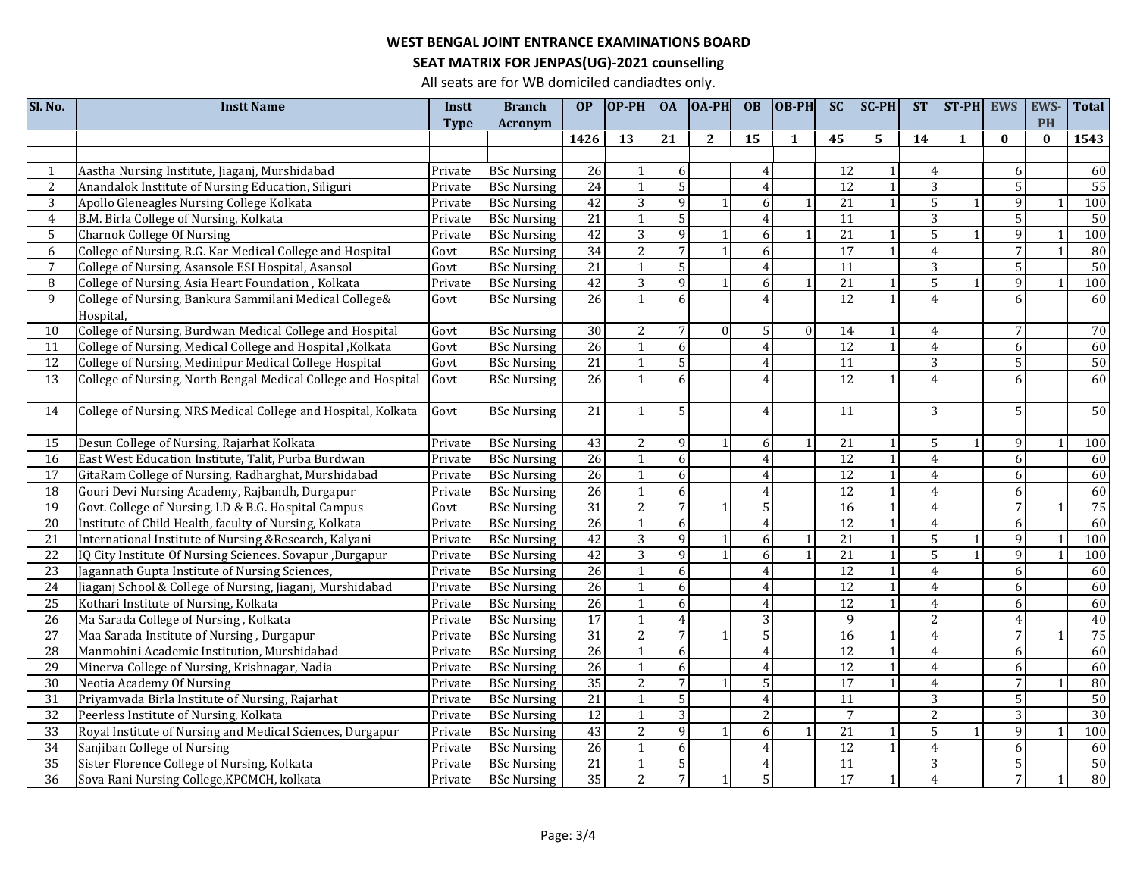# **SEAT MATRIX FOR JENPAS(UG)-2021 counselling**

| Sl. No.         | <b>Instt Name</b>                                             | Instt   | <b>Branch</b>      | <b>OP</b>       | $OP-PH$        | <b>OA</b>       | <b>OA-PH</b> | <b>OB</b>                | OB-PH    | <b>SC</b>       | <b>SC-PH</b>   | <b>ST</b>      | ST-PH        | <b>EWS</b>      | <b>EWS</b> | <b>Total</b>    |
|-----------------|---------------------------------------------------------------|---------|--------------------|-----------------|----------------|-----------------|--------------|--------------------------|----------|-----------------|----------------|----------------|--------------|-----------------|------------|-----------------|
|                 |                                                               | Type    | Acronym            |                 |                |                 |              |                          |          |                 |                |                |              |                 | <b>PH</b>  |                 |
|                 |                                                               |         |                    | 1426            | 13             | 21              | $\mathbf{2}$ | 15                       | 1        | 45              | 5              | 14             | $\mathbf{1}$ | $\bf{0}$        | $\bf{0}$   | 1543            |
|                 |                                                               |         |                    |                 |                |                 |              |                          |          |                 |                |                |              |                 |            |                 |
|                 | Aastha Nursing Institute, Jiaganj, Murshidabad                | Private | <b>BSc Nursing</b> | 26              | $\mathbf{1}$   | 6               |              | 4                        |          | 12              |                | $\overline{4}$ |              | 6               |            | 60              |
| 2               | Anandalok Institute of Nursing Education, Siliguri            | Private | <b>BSc Nursing</b> | 24              | $\mathbf{1}$   | $5\overline{5}$ |              | $\overline{4}$           |          | 12              | $\overline{1}$ | 3              |              | $\overline{5}$  |            | $\overline{55}$ |
| 3               | Apollo Gleneagles Nursing College Kolkata                     | Private | <b>BSc Nursing</b> | 42              | $\overline{3}$ | 9               | $\mathbf{1}$ | 6                        |          | 21              | $\mathbf{1}$   | 5              |              | 9               |            | 100             |
| $\overline{4}$  | B.M. Birla College of Nursing, Kolkata                        | Private | <b>BSc Nursing</b> | 21              | $\mathbf{1}$   | $\overline{5}$  |              | $\overline{4}$           |          | 11              |                | $\overline{3}$ |              | 5 <sup>1</sup>  |            | 50              |
| 5               | <b>Charnok College Of Nursing</b>                             | Private | <b>BSc Nursing</b> | $\overline{42}$ | $\overline{3}$ | $\mathbf{q}$    |              | 6                        |          | 21              |                | $\overline{5}$ |              | 9               |            | 100             |
| 6               | College of Nursing, R.G. Kar Medical College and Hospital     | Govt    | <b>BSc Nursing</b> | 34              | $\overline{2}$ | $\overline{7}$  |              | 6                        |          | 17              | $\mathbf{1}$   | $\overline{4}$ |              | $\overline{7}$  |            | 80              |
| 7               | College of Nursing, Asansole ESI Hospital, Asansol            | Govt    | <b>BSc Nursing</b> | 21              | $\mathbf{1}$   | 5               |              | 4                        |          | $\overline{11}$ |                | 3              |              | 5 <sup>1</sup>  |            | 50              |
| 8               | College of Nursing, Asia Heart Foundation, Kolkata            | Private | <b>BSc Nursing</b> | 42              | $\overline{3}$ | 9               |              | 6                        |          | $\overline{21}$ |                | $\overline{5}$ |              | 9               |            | 100             |
| 9               | College of Nursing, Bankura Sammilani Medical College&        | Govt    | <b>BSc Nursing</b> | 26              | $\mathbf{1}$   | 6               |              | 4                        |          | 12              | $\mathbf{1}$   | $\overline{4}$ |              | 6               |            | 60              |
|                 | Hospital,                                                     |         |                    |                 |                |                 |              |                          |          |                 |                |                |              |                 |            |                 |
| 10              | College of Nursing, Burdwan Medical College and Hospital      | Govt    | <b>BSc Nursing</b> | 30              | $\overline{2}$ | $\overline{7}$  | $\Omega$     | 5                        | $\Omega$ | 14              | $\mathbf{1}$   | $\overline{4}$ |              | $7\overline{ }$ |            | 70              |
| 11              | College of Nursing, Medical College and Hospital, Kolkata     | Govt    | <b>BSc Nursing</b> | 26              | $\mathbf{1}$   | 6               |              | $\overline{4}$           |          | $\overline{12}$ | $\overline{1}$ | $\overline{4}$ |              | 6               |            | 60              |
| $\overline{12}$ | College of Nursing, Medinipur Medical College Hospital        | Govt    | <b>BSc Nursing</b> | 21              | $\vert$ 1      | $\overline{5}$  |              | $\overline{4}$           |          | 11              |                | $\overline{3}$ |              | 5 <sup>1</sup>  |            | 50              |
| 13              | College of Nursing, North Bengal Medical College and Hospital | Govt    | <b>BSc Nursing</b> | 26              | $\mathbf{1}$   | 6               |              | $\overline{4}$           |          | 12              | $\mathbf{1}$   | $\overline{4}$ |              | 6               |            | 60              |
|                 |                                                               |         |                    |                 |                |                 |              |                          |          |                 |                |                |              |                 |            |                 |
| 14              | College of Nursing, NRS Medical College and Hospital, Kolkata | Govt    | <b>BSc Nursing</b> | 21              | $\mathbf{1}$   | $\overline{5}$  |              | 4                        |          | $\overline{11}$ |                | 3              |              | $\overline{5}$  |            | 50              |
|                 |                                                               |         |                    |                 |                |                 |              |                          |          |                 |                |                |              |                 |            |                 |
| 15              | Desun College of Nursing, Rajarhat Kolkata                    | Private | <b>BSc Nursing</b> | 43              | $\overline{2}$ | 9               |              | 6                        |          | 21              | $\mathbf{1}$   | 5              |              | 9               |            | 100             |
| 16              | East West Education Institute, Talit, Purba Burdwan           | Private | <b>BSc Nursing</b> | 26              | $\mathbf{1}$   | 6               |              | 4                        |          | $\overline{12}$ | $\overline{1}$ | $\overline{4}$ |              | 6               |            | 60              |
| 17              | GitaRam College of Nursing, Radharghat, Murshidabad           | Private | <b>BSc Nursing</b> | 26              | $\mathbf{1}$   | 6               |              | 4                        |          | $\overline{12}$ | $\mathbf{1}$   | $\overline{4}$ |              | 6               |            | 60              |
| 18              | Gouri Devi Nursing Academy, Rajbandh, Durgapur                | Private | <b>BSc Nursing</b> | 26              | $\mathbf{1}$   | 6               |              | $\overline{4}$           |          | $\overline{12}$ | $\mathbf{1}$   | $\overline{4}$ |              | 6               |            | 60              |
| 19              | Govt. College of Nursing, I.D & B.G. Hospital Campus          | Govt    | <b>BSc Nursing</b> | 31              | $\overline{2}$ | $\overline{7}$  |              | 5                        |          | 16              | $\overline{1}$ | $\overline{4}$ |              | $7\overline{ }$ |            | 75              |
| $\overline{20}$ | Institute of Child Health, faculty of Nursing, Kolkata        | Private | <b>BSc Nursing</b> | 26              | $\mathbf{1}$   | 6               |              | $\overline{\mathcal{A}}$ |          | 12              | $\overline{1}$ | $\overline{4}$ |              | 6               |            | 60              |
| $\overline{21}$ | International Institute of Nursing & Research, Kalyani        | Private | <b>BSc Nursing</b> | 42              | $\overline{3}$ | 9               |              | 6                        |          | $\overline{21}$ | $\overline{1}$ | $\overline{5}$ | $\mathbf{1}$ | $\overline{9}$  |            | 100             |
| $\overline{22}$ | IQ City Institute Of Nursing Sciences. Sovapur ,Durgapur      | Private | <b>BSc Nursing</b> | 42              | $\overline{3}$ | 9               |              | 6                        |          | $\overline{21}$ | $\overline{1}$ | $\overline{5}$ |              | 9               |            | 100             |
| 23              | Jagannath Gupta Institute of Nursing Sciences,                | Private | <b>BSc Nursing</b> | 26              | $\mathbf{1}$   | 6               |              | 4                        |          | 12              | $\mathbf{1}$   | $\overline{4}$ |              | 6               |            | 60              |
| 24              | Jiaganj School & College of Nursing, Jiaganj, Murshidabad     | Private | <b>BSc Nursing</b> | 26              | $\mathbf{1}$   | 6               |              |                          |          | 12              | $\overline{1}$ | $\overline{4}$ |              | 6               |            | 60              |
| 25              | Kothari Institute of Nursing, Kolkata                         | Private | <b>BSc Nursing</b> | 26              | $\mathbf{1}$   | 6               |              | 4                        |          | $\overline{12}$ | $\overline{1}$ | $\overline{4}$ |              | 6               |            | 60              |
| $\overline{26}$ | Ma Sarada College of Nursing, Kolkata                         | Private | <b>BSc Nursing</b> | 17              | $\mathbf{1}$   | 4               |              | 3                        |          | $\mathbf Q$     |                | $\overline{2}$ |              | $\overline{4}$  |            | 40              |
| 27              | Maa Sarada Institute of Nursing, Durgapur                     | Private | <b>BSc Nursing</b> | $\overline{31}$ | $\overline{2}$ | $\overline{7}$  |              | 5                        |          | 16              |                | $\overline{4}$ |              | 7               |            | 75              |
| 28              | Manmohini Academic Institution, Murshidabad                   | Private | <b>BSc Nursing</b> | 26              | $\mathbf{1}$   | 6               |              | $\overline{4}$           |          | 12              |                | $\overline{A}$ |              | 6               |            | 60              |
| 29              | Minerva College of Nursing, Krishnagar, Nadia                 | Private | <b>BSc Nursing</b> | $\overline{26}$ | $\mathbf{1}$   | 6               |              | 4                        |          | 12              | $\mathbf{1}$   | $\overline{4}$ |              | 6               |            | 60              |
| $\overline{30}$ | Neotia Academy Of Nursing                                     | Private | <b>BSc Nursing</b> | 35              | $\overline{2}$ | $\overline{7}$  |              | 5                        |          | $\overline{17}$ | -1             | $\overline{4}$ |              | $\overline{7}$  |            | 80              |
| 31              | Priyamvada Birla Institute of Nursing, Rajarhat               | Private | <b>BSc Nursing</b> | 21              | $\mathbf{1}$   | 5               |              | $\overline{4}$           |          | 11              |                | 3              |              | 5 <sup>1</sup>  |            | 50              |
| 32              | Peerless Institute of Nursing, Kolkata                        | Private | <b>BSc Nursing</b> | 12              | $\mathbf{1}$   | 3               |              | $\overline{2}$           |          | 7               |                | $\overline{2}$ |              | 3               |            | 30              |
| $\overline{33}$ | Royal Institute of Nursing and Medical Sciences, Durgapur     | Private | <b>BSc</b> Nursing | 43              | $\overline{2}$ | 9               | $\mathbf{1}$ | 6                        |          | 21              | $\mathbf{1}$   | 5              |              | 9               |            | 100             |
| $\overline{34}$ | Sanjiban College of Nursing                                   | Private | <b>BSc Nursing</b> | 26              | 1              | 6               |              | 4                        |          | 12              | $\mathbf{1}$   | $\overline{4}$ |              | 6               |            | 60              |
| 35              | Sister Florence College of Nursing, Kolkata                   | Private | <b>BSc Nursing</b> | $\overline{21}$ | $\mathbf{1}$   | 5               |              | 4                        |          | 11              |                | 3              |              | 5               |            | 50              |
| 36              | Sova Rani Nursing College, KPCMCH, kolkata                    | Private | <b>BSc Nursing</b> | 35              | $\overline{2}$ | $\overline{7}$  |              | $\mathsf{5}$             |          | 17              | $\mathbf{1}$   | $\overline{4}$ |              | $\overline{7}$  |            | 80              |